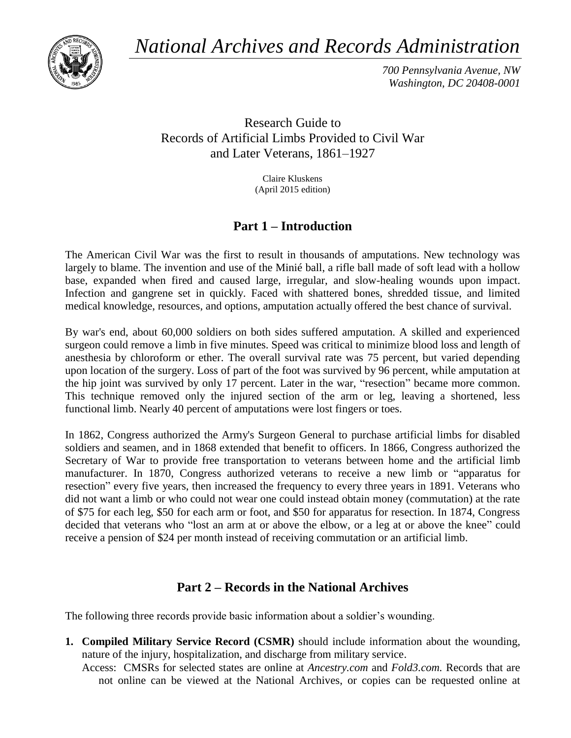*National Archives and Records Administration*



*700 Pennsylvania Avenue, NW Washington, DC 20408-0001*

Research Guide to Records of Artificial Limbs Provided to Civil War and Later Veterans, 1861–1927

> Claire Kluskens (April 2015 edition)

# **Part 1 – Introduction**

The American Civil War was the first to result in thousands of amputations. New technology was largely to blame. The invention and use of the Minié ball, a rifle ball made of soft lead with a hollow base, expanded when fired and caused large, irregular, and slow-healing wounds upon impact. Infection and gangrene set in quickly. Faced with shattered bones, shredded tissue, and limited medical knowledge, resources, and options, amputation actually offered the best chance of survival.

By war's end, about 60,000 soldiers on both sides suffered amputation. A skilled and experienced surgeon could remove a limb in five minutes. Speed was critical to minimize blood loss and length of anesthesia by chloroform or ether. The overall survival rate was 75 percent, but varied depending upon location of the surgery. Loss of part of the foot was survived by 96 percent, while amputation at the hip joint was survived by only 17 percent. Later in the war, "resection" became more common. This technique removed only the injured section of the arm or leg, leaving a shortened, less functional limb. Nearly 40 percent of amputations were lost fingers or toes.

In 1862, Congress authorized the Army's Surgeon General to purchase artificial limbs for disabled soldiers and seamen, and in 1868 extended that benefit to officers. In 1866, Congress authorized the Secretary of War to provide free transportation to veterans between home and the artificial limb manufacturer. In 1870, Congress authorized veterans to receive a new limb or "apparatus for resection" every five years, then increased the frequency to every three years in 1891. Veterans who did not want a limb or who could not wear one could instead obtain money (commutation) at the rate of \$75 for each leg, \$50 for each arm or foot, and \$50 for apparatus for resection. In 1874, Congress decided that veterans who "lost an arm at or above the elbow, or a leg at or above the knee" could receive a pension of \$24 per month instead of receiving commutation or an artificial limb.

# **Part 2 – Records in the National Archives**

The following three records provide basic information about a soldier's wounding.

**1. Compiled Military Service Record (CSMR)** should include information about the wounding, nature of the injury, hospitalization, and discharge from military service.

Access: CMSRs for selected states are online at *Ancestry.com* and *Fold3.com.* Records that are not online can be viewed at the National Archives, or copies can be requested online at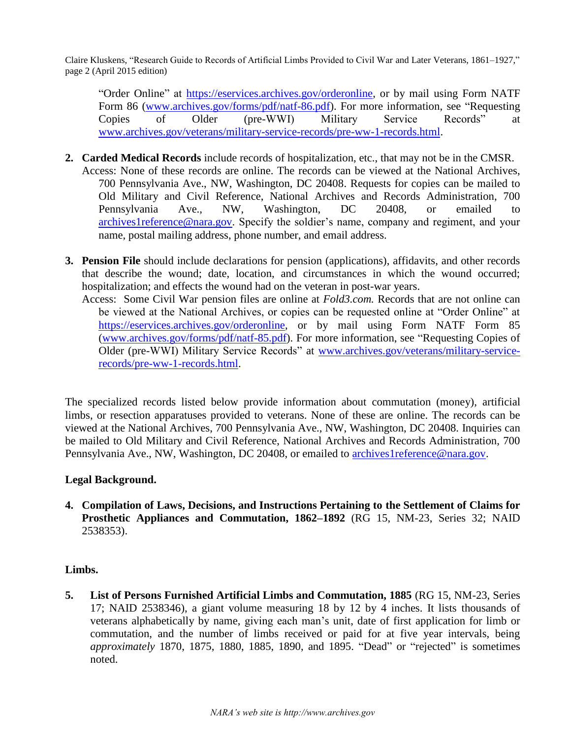Claire Kluskens, "Research Guide to Records of Artificial Limbs Provided to Civil War and Later Veterans, 1861–1927," page 2 (April 2015 edition)

"Order Online" at [https://eservices.archives.gov/orderonline,](https://eservices.archives.gov/orderonline) or by mail using Form NATF Form 86 [\(www.archives.gov/forms/pdf/natf-86.pdf\)](http://www.archives.gov/forms/pdf/natf-86.pdf). For more information, see "Requesting Copies of Older (pre-WWI) Military Service Records" at [www.archives.gov/veterans/military-service-records/pre-ww-1-records.html.](http://www.archives.gov/veterans/military-service-records/pre-ww-1-records.html)

- **2. Carded Medical Records** include records of hospitalization, etc., that may not be in the CMSR. Access: None of these records are online. The records can be viewed at the National Archives, 700 Pennsylvania Ave., NW, Washington, DC 20408. Requests for copies can be mailed to Old Military and Civil Reference, National Archives and Records Administration, 700 Pennsylvania Ave., NW, Washington, DC 20408, or emailed to [archives1reference@nara.gov.](mailto:archives1reference@nara.gov) Specify the soldier's name, company and regiment, and your name, postal mailing address, phone number, and email address.
- **3. Pension File** should include declarations for pension (applications), affidavits, and other records that describe the wound; date, location, and circumstances in which the wound occurred; hospitalization; and effects the wound had on the veteran in post-war years.
	- Access: Some Civil War pension files are online at *Fold3.com.* Records that are not online can be viewed at the National Archives, or copies can be requested online at "Order Online" at [https://eservices.archives.gov/orderonline,](https://eservices.archives.gov/orderonline) or by mail using Form NATF Form 85 [\(www.archives.gov/forms/pdf/natf-85.pdf\)](http://www.archives.gov/forms/pdf/natf-85.pdf). For more information, see "Requesting Copies of Older (pre-WWI) Military Service Records" at [www.archives.gov/veterans/military-service](http://www.archives.gov/veterans/military-service-records/pre-ww-1-records.html)[records/pre-ww-1-records.html.](http://www.archives.gov/veterans/military-service-records/pre-ww-1-records.html)

The specialized records listed below provide information about commutation (money), artificial limbs, or resection apparatuses provided to veterans. None of these are online. The records can be viewed at the National Archives, 700 Pennsylvania Ave., NW, Washington, DC 20408. Inquiries can be mailed to Old Military and Civil Reference, National Archives and Records Administration, 700 Pennsylvania Ave., NW, Washington, DC 20408, or emailed to [archives1reference@nara.gov.](mailto:archives1reference@nara.gov)

### **Legal Background.**

**4. Compilation of Laws, Decisions, and Instructions Pertaining to the Settlement of Claims for Prosthetic Appliances and Commutation, 1862–1892** (RG 15, NM-23, Series 32; NAID 2538353).

### **Limbs.**

**5. List of Persons Furnished Artificial Limbs and Commutation, 1885** (RG 15, NM-23, Series 17; NAID 2538346), a giant volume measuring 18 by 12 by 4 inches. It lists thousands of veterans alphabetically by name, giving each man's unit, date of first application for limb or commutation, and the number of limbs received or paid for at five year intervals, being *approximately* 1870, 1875, 1880, 1885, 1890, and 1895. "Dead" or "rejected" is sometimes noted.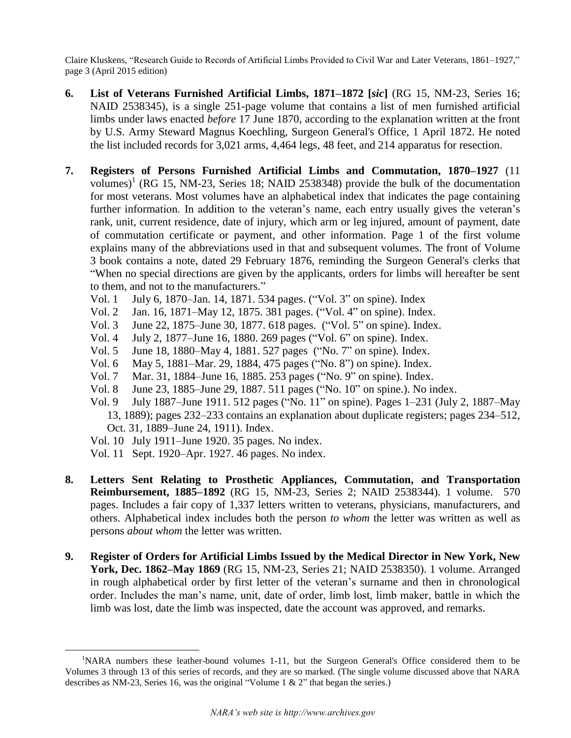Claire Kluskens, "Research Guide to Records of Artificial Limbs Provided to Civil War and Later Veterans, 1861–1927," page 3 (April 2015 edition)

- **6. List of Veterans Furnished Artificial Limbs, 1871–1872 [***sic***]** (RG 15, NM-23, Series 16; NAID 2538345), is a single 251-page volume that contains a list of men furnished artificial limbs under laws enacted *before* 17 June 1870, according to the explanation written at the front by U.S. Army Steward Magnus Koechling, Surgeon General's Office, 1 April 1872. He noted the list included records for 3,021 arms, 4,464 legs, 48 feet, and 214 apparatus for resection.
- **7. Registers of Persons Furnished Artificial Limbs and Commutation, 1870–1927** (11 volumes)<sup>1</sup> (RG 15, NM-23, Series 18; NAID 2538348) provide the bulk of the documentation for most veterans. Most volumes have an alphabetical index that indicates the page containing further information. In addition to the veteran's name, each entry usually gives the veteran's rank, unit, current residence, date of injury, which arm or leg injured, amount of payment, date of commutation certificate or payment, and other information. Page 1 of the first volume explains many of the abbreviations used in that and subsequent volumes. The front of Volume 3 book contains a note, dated 29 February 1876, reminding the Surgeon General's clerks that "When no special directions are given by the applicants, orders for limbs will hereafter be sent to them, and not to the manufacturers."
	- Vol. 1 July 6, 1870–Jan. 14, 1871. 534 pages. ("Vol. 3" on spine). Index
	- Vol. 2 Jan. 16, 1871–May 12, 1875. 381 pages. ("Vol. 4" on spine). Index.
	- Vol. 3 June 22, 1875–June 30, 1877. 618 pages. ("Vol. 5" on spine). Index.
	- Vol. 4 July 2, 1877–June 16, 1880. 269 pages ("Vol. 6" on spine). Index.
	- Vol. 5 June 18, 1880–May 4, 1881. 527 pages ("No. 7" on spine). Index.
	- Vol. 6 May 5, 1881–Mar. 29, 1884, 475 pages ("No. 8") on spine). Index.
	- Vol. 7 Mar. 31, 1884–June 16, 1885. 253 pages ("No. 9" on spine). Index.
	- June 23, 1885–June 29, 1887. 511 pages ("No. 10" on spine.). No index.
	- Vol. 9 July 1887–June 1911. 512 pages ("No. 11" on spine). Pages 1–231 (July 2, 1887–May 13, 1889); pages 232–233 contains an explanation about duplicate registers; pages 234–512, Oct. 31, 1889–June 24, 1911). Index.
	- Vol. 10 July 1911–June 1920. 35 pages. No index.
	- Vol. 11 Sept. 1920–Apr. 1927. 46 pages. No index.

 $\overline{a}$ 

- **8. Letters Sent Relating to Prosthetic Appliances, Commutation, and Transportation Reimbursement, 1885–1892** (RG 15, NM-23, Series 2; NAID 2538344). 1 volume. 570 pages. Includes a fair copy of 1,337 letters written to veterans, physicians, manufacturers, and others. Alphabetical index includes both the person *to whom* the letter was written as well as persons *about whom* the letter was written.
- **9. Register of Orders for Artificial Limbs Issued by the Medical Director in New York, New York, Dec. 1862–May 1869** (RG 15, NM-23, Series 21; NAID 2538350). 1 volume. Arranged in rough alphabetical order by first letter of the veteran's surname and then in chronological order. Includes the man's name, unit, date of order, limb lost, limb maker, battle in which the limb was lost, date the limb was inspected, date the account was approved, and remarks.

<sup>&</sup>lt;sup>1</sup>NARA numbers these leather-bound volumes 1-11, but the Surgeon General's Office considered them to be Volumes 3 through 13 of this series of records, and they are so marked. (The single volume discussed above that NARA describes as NM-23, Series 16, was the original "Volume 1 & 2" that began the series.)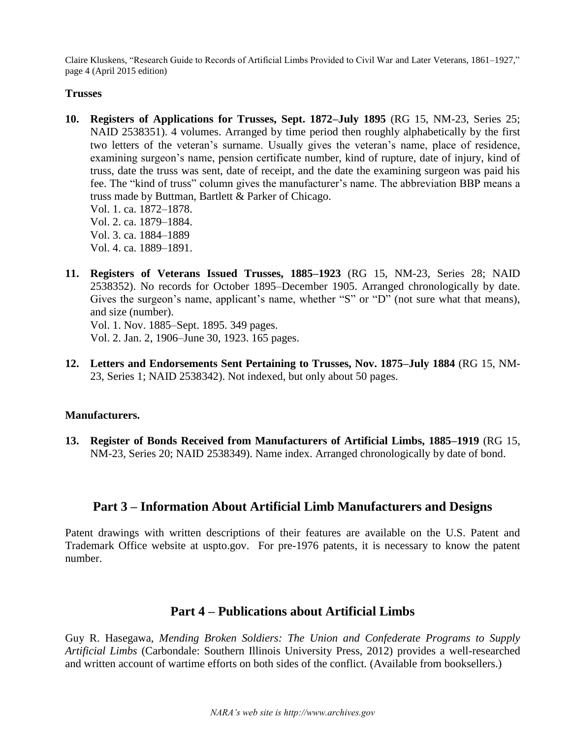Claire Kluskens, "Research Guide to Records of Artificial Limbs Provided to Civil War and Later Veterans, 1861–1927," page 4 (April 2015 edition)

#### **Trusses**

**10. Registers of Applications for Trusses, Sept. 1872–July 1895** (RG 15, NM-23, Series 25; NAID 2538351). 4 volumes. Arranged by time period then roughly alphabetically by the first two letters of the veteran's surname. Usually gives the veteran's name, place of residence, examining surgeon's name, pension certificate number, kind of rupture, date of injury, kind of truss, date the truss was sent, date of receipt, and the date the examining surgeon was paid his fee. The "kind of truss" column gives the manufacturer's name. The abbreviation BBP means a truss made by Buttman, Bartlett & Parker of Chicago. Vol. 1. ca. 1872–1878.

Vol. 2. ca. 1879–1884. Vol. 3. ca. 1884–1889 Vol. 4. ca. 1889–1891.

**11. Registers of Veterans Issued Trusses, 1885–1923** (RG 15, NM-23, Series 28; NAID 2538352). No records for October 1895–December 1905. Arranged chronologically by date. Gives the surgeon's name, applicant's name, whether "S" or "D" (not sure what that means), and size (number).

Vol. 1. Nov. 1885–Sept. 1895. 349 pages. Vol. 2. Jan. 2, 1906–June 30, 1923. 165 pages.

**12. Letters and Endorsements Sent Pertaining to Trusses, Nov. 1875–July 1884** (RG 15, NM-23, Series 1; NAID 2538342). Not indexed, but only about 50 pages.

#### **Manufacturers.**

**13. Register of Bonds Received from Manufacturers of Artificial Limbs, 1885–1919** (RG 15, NM-23, Series 20; NAID 2538349). Name index. Arranged chronologically by date of bond.

# **Part 3 – Information About Artificial Limb Manufacturers and Designs**

Patent drawings with written descriptions of their features are available on the U.S. Patent and Trademark Office website at uspto.gov. For pre-1976 patents, it is necessary to know the patent number.

# **Part 4 – Publications about Artificial Limbs**

Guy R. Hasegawa, *Mending Broken Soldiers: The Union and Confederate Programs to Supply Artificial Limbs* (Carbondale: Southern Illinois University Press, 2012) provides a well-researched and written account of wartime efforts on both sides of the conflict. (Available from booksellers.)